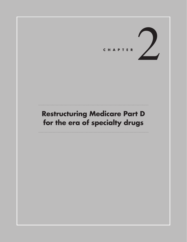# CHAPTER

# **Restructuring Medicare Part D for the era of specialty drugs**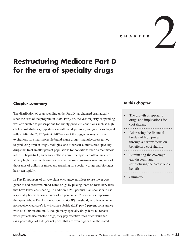C H A P T E R

# **Restructuring Medicare Part D for the era of specialty drugs**

# **Chapter summary**

The distribution of drug spending under Part D has changed dramatically since the start of the program in 2006. Early on, the vast majority of spending was attributable to prescriptions for widely prevalent conditions such as high cholesterol, diabetes, hypertension, asthma, depression, and gastroesophageal reflux. After the 2012 "patent cliff"—one of the biggest waves of patent expirations for small-molecule brand-name drugs—manufacturers turned to producing orphan drugs, biologics, and other self-administered specialty drugs that treat smaller patient populations for conditions such as rheumatoid arthritis, hepatitis C, and cancer. These newer therapies are often launched at very high prices, with annual costs per person sometimes reaching tens of thousands of dollars or more, and spending for specialty drugs and biologics has risen rapidly.

In Part D, sponsors of private plans encourage enrollees to use lower cost generics and preferred brand-name drugs by placing them on formulary tiers that have lower cost sharing. In addition, CMS permits plan sponsors to use a specialty tier with coinsurance of 25 percent to 33 percent for expensive therapies. Above Part D's out-of-pocket (OOP) threshold, enrollees who do not receive Medicare's low-income subsidy (LIS) pay 5 percent coinsurance with no OOP maximum. Although many specialty drugs have no rebates, when patients use rebated drugs, they pay effective rates of coinsurance (as a percentage of a drug's net price) that are even higher than the stated

## **In this chapter**

- The growth of specialty drugs and implications for cost sharing
- Addressing the financial burden of high prices through a narrow focus on beneficiary cost sharing
- Eliminating the coveragegap discount and restructuring the catastrophic benefit
- **Summary**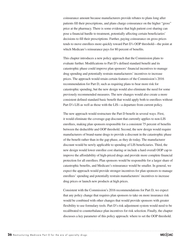coinsurance amount because manufacturers provide rebates to plans long after patients fill their prescriptions, and plans charge coinsurance on the higher "gross" price at the pharmacy. There is some evidence that high patient cost sharing can pose a financial hurdle to treatment, potentially affecting certain beneficiaries' decisions to fill their prescriptions. Further, paying coinsurance on gross prices tends to move enrollees more quickly toward Part D's OOP threshold—the point at which Medicare's reinsurance pays for 80 percent of benefits.

This chapter introduces a new policy approach that the Commission plans to evaluate further. Modifications to Part D's defined standard benefit and its catastrophic phase could improve plan sponsors' financial incentives to manage drug spending and potentially restrain manufacturers' incentives to increase prices. The approach would retain certain features of the Commission's 2016 recommendation for Part D, such as requiring plans to bear more risk for catastrophic spending, but the new design would also eliminate the need for some previously recommended measures. The new changes would also create a more consistent defined standard basic benefit that would apply both to enrollees without Part D's LIS as well as those with the LIS—a departure from current policy.

The new approach would restructure the Part D benefit in several ways. First, it would eliminate the coverage-gap discount that currently applies to non-LIS enrollees, making plan sponsors responsible for a consistent 75 percent of benefits between the deductible and OOP threshold. Second, the new design would require manufacturers of brand-name drugs to provide a discount in the catastrophic phase of the benefit rather than in the gap phase, as they do today. The manufacturer discount would be newly applicable to spending of LIS beneficiaries. Third, the new design would lower enrollee cost sharing or include a hard overall OOP cap to improve the affordability of high-priced drugs and provide more complete financial protection for all enrollees. Plan sponsors would be responsible for a larger share of catastrophic benefits, and Medicare's reinsurance would be smaller. In general, we expect the approach would provide stronger incentives for plan sponsors to manage enrollees' spending and potentially restrain manufacturers' incentives to increase drug prices or launch new products at high prices.

Consistent with the Commission's 2016 recommendations for Part D, we expect that any policy change that requires plan sponsors to take on more insurance risk would be combined with other changes that would provide sponsors with greater flexibility to use formulary tools. Part D's risk adjustment system would need to be recalibrated to counterbalance plan incentives for risk selection. Finally, the chapter discusses a key parameter of this policy approach: where to set the OOP threshold.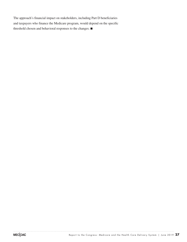The approach's financial impact on stakeholders, including Part D beneficiaries and taxpayers who finance the Medicare program, would depend on the specific threshold chosen and behavioral responses to the changes. ■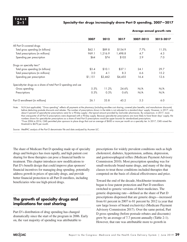#### **2–1 Specialty-tier drugs increasingly drove Part D spending, 2007—2017**

|                                                                  | 2007    | 2012    | 2017    | Average annual growth rate |           |
|------------------------------------------------------------------|---------|---------|---------|----------------------------|-----------|
|                                                                  |         |         |         | 2007-2012                  | 2012-2017 |
| All Part D-covered drugs                                         |         |         |         |                            |           |
| Total gross spending (in billions)                               | \$62.1  | \$89.8  | \$154.9 | 7.7%                       | 11.5%     |
| Total prescriptions (in millions)                                | 969.1   | 1,216.9 | 1,498.8 | 4.7                        | 4.3       |
| Spending per prescription                                        | \$64    | \$74    | \$103   | 2.9                        | 7.0       |
| Drugs on specialty tiers*                                        |         |         |         |                            |           |
| Total gross spending (in billions)                               | \$3.4   | \$10.1  | \$37.1  | 24.1                       | 29.7      |
| Total prescriptions (in millions)                                | 3.0     | 4.1     | 8.3     | 6.6                        | 15.2      |
| Spending per prescription                                        | \$1,151 | \$2,462 | \$4,455 | 16.4                       | 12.6      |
| Specialty-tier drugs as a share of total Part D spending and use |         |         |         |                            |           |
| Gross spending                                                   | 5.5%    | 11.2%   | 24.6%   | N/A                        | N/A       |
| Prescriptions                                                    | 0.3%    | 0.3%    | 0.6%    | N/A                        | N/A       |
| Part D enrollment (in millions)                                  | 26.1    | 33.8    | 45.2    | 5.3                        | 6.0       |

Note: N/A (not applicable). "Gross spending" reflects all payments at the pharmacy (including enrollee cost sharing, covered plan benefits, and manufacturer discounts) before deducting postsale discounts and rebates. The number of prescriptions shown in the table is not adjusted to a standard days' supply. However, in 2017, only about 5 percent of specialty-tier prescriptions were for a 90-day supply—the typical amount provided by mail-order pharmacies. By comparison, in 2017, more than one-quarter of all Part D prescriptions were dispensed with a 90-day supply. Because specialty-tier prescriptions are more likely to have fewer days' supply, the numbers shown for specialty-tier prescriptions as a share of total Part D prescriptions would be upper bounds for standardized prescriptions. \*From 2006 to 2016, CMS permitted plan sponsors to place drugs that cost an average of \$600 or more per month on a specialty tier. In 2017, CMS raised the threshold to \$670 per month.

Source: MedPAC analysis of the Part D denominator file and data analyzed by Acumen LLC.

The share of Medicare Part D spending made up of specialty drugs and biologics has risen rapidly, and high patient cost sharing for those therapies can pose a financial hurdle to treatment. This chapter introduces new modifications to Part D's benefit design that could improve plan sponsors' financial incentives for managing drug spending, potentially address growth in prices of specialty drugs, and provide better financial protection to all Part D enrollees, including beneficiaries who use high-priced drugs.

# **The growth of specialty drugs and implications for cost sharing**

Part D's distribution of drug spending has changed dramatically since the start of the program in 2006. Early on, the vast majority of spending was attributable to

prescriptions for widely prevalent conditions such as high cholesterol, diabetes, hypertension, asthma, depression, and gastroesophageal reflux (Medicare Payment Advisory Commission 2010). Most prescription spending was for small-molecule brand-name drugs, and many of the drug classes to treat those conditions included therapies that competed on the basis of clinical effectiveness and price.

Toward the end of the decade, blockbuster treatments began to lose patent protection and Part D enrollees switched to generic versions of their medicines. The generic dispensing rate—defined as the share of Part D prescriptions dispensed that are generic drugs—increased from 61 percent in 2007 to 81 percent by 2012 (a year that saw large losses of brand exclusivity) (Medicare Payment Advisory Commission 2017). Over the same period, Part D gross spending (before postsale rebates and discounts) grew by an average of 7.7 percent annually (Table 2-1). However, that rate was attributable more to growth in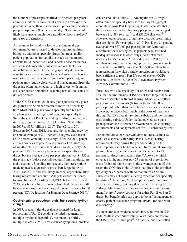the number of prescriptions filled (4.7 percent per year) commensurate with enrollment growth (an average of 5.3 percent per year) than to increases in prices and spending per prescription (2.9 percent annually). Spending would likely have grown much more rapidly without enrollees' move toward generics.

As revenues for small-molecule brand-name drugs fell, manufacturers turned to developing orphan drugs, biologics, and other specialty drugs that treat smaller patient populations for conditions such as rheumatoid arthritis (RA), hepatitis C, and cancer. Those medicines are often self-injectable, but some are oral tablets or inhalable medicines.<sup>1</sup> Dispensing specialty drugs can sometimes raise challenging logistical issues (such as the need to ship them at a consistent low temperature), and patients may require closer clinical management. Specialty drugs are often launched at very high prices, with annual costs per person sometimes reaching tens of thousands of dollars or more.

Under CMS's current guidance, plan sponsors may place drugs that cost \$670 per month or more on a specialty tier. $^2$  Most Part D plans have a specialty tier, but not all plans place every high-cost drug on a specialty tier. Since the start of Part D, spending for drugs on specialty tiers has grown more than 10-fold—from \$3.4 billion in 2007 to \$37.1 billion in 2017 (Table 2-1, p. 29). Between 2007 and 2012, specialty-tier spending grew by an annual average of 24.1 percent, but grew even faster (29.7 percent annually, on average) after the 2012 patent cliff (expirations of patents and periods of exclusivity) of small-molecule brand-name drugs. In 2017, only 0.6 percent of Part D prescriptions were for specialty-tier drugs, but the average price per prescription was \$4,455 at the pharmacy (before postsale rebates from manufacturers and discounts). Spending for specialty-tier prescriptions made up nearly a quarter of gross Part D spending by 2017 (Table 2-1) and was likely an even larger share after taking rebates into account.<sup>3</sup> Analysts expect that share to grow further. According to IQVIA, between 2019 and 2023, nearly two-thirds of newly launched medicines will be specialty drugs, and oncology drugs will account for 30 percent (IQVIA Institute for Human Data Science 2019).<sup>4</sup>

#### **Cost-sharing requirements for specialty-tier drugs**

In 2017, specialty-tier drugs that accounted for large proportions of Part D spending included treatments for multiple myeloma, hepatitis C, rheumatoid arthritis, multiple sclerosis (MS), breast cancer, lymphoma, prostate cancer, and HIV (Table 2-2). Among the top 20 drugs often found on specialty tiers with the largest aggregate amounts of gross Part D spending, CMS calculates that the average price at the pharmacy per prescription ranged between \$1,458 (Sensipar<sup>®</sup>) and \$31,208 (Harvoni<sup>®</sup>).<sup>5</sup> However, other specialty drugs have costs per prescription that are higher. For example, in 2017, Part D gross spending averaged over \$77,000 per prescription for Lemtrada®, a treatment for relapsing MS in patients who have had inadequate response to other drugs (data not shown) (Centers for Medicare & Medicaid Services 2017a). The numbers of drugs with very high prices has grown to such an extent that in 2017, more than 370,000 enrollees filled a prescription for which a single prescription would have been sufficient to reach Part D's out-of-pocket (OOP) threshold, up from 33,000 in 2010 (Medicare Payment Advisory Commission 2019b).

Enrollees who take specialty-tier drugs and receive Part D's low-income subsidy (LIS) do not face large financial hurdles associated with cost sharing. Most LIS enrollees pay nominal copayments (between \$0 and \$8.50 per prescription) rather than their plan's cost-sharing amounts. However, taxpayers bear much of the costs of treatment through Part D's overall premium subsidy and low-income cost-sharing subsidy. Under the latter, Medicare pays plan sponsors the difference between plans' cost-sharing requirements and copayments set for LIS enrollees by law.

For an individual enrollee who does not receive the LIS and uses a specialty-tier drug, Part D's cost-sharing requirements vary during the year depending on the benefit phase she or he has reached. In the initial coverage phase, plans charge coinsurance of 25 percent to 33 percent for drugs on specialty tiers.<sup>6</sup> Above the initial coverage limit, enrollees pay 25 percent of prescription costs for brand-name drugs in the coverage gap until they reach the OOP threshold.<sup>7</sup> Above that threshold, enrollees typically pay 5 percent with no maximum OOP limit. Enrollees may not request a tiering exception for specialtytier drugs.<sup>8</sup> Under law, Medigap policies may not cover Part D cost sharing, but they do cover cost sharing for Part B drugs. Medicare beneficiaries are not permitted to use manufacturers' copay coupons for either Part B or Part D drugs, but beneficiaries can apply to bona fide independent charity patient assistance programs (PAPs) for help with cost sharing.<sup>9</sup>

As an example, consider a beneficiary who lives in ZIP code 24901 (Greenbrier County, WV), does not receive the LIS, uses a Humira pen® to treat RA, and is enrolled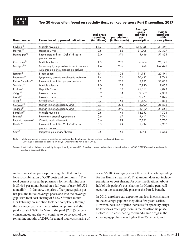#### **2–2 Top 20 drugs often found on specialty tiers, ranked by gross Part D spending, 2017**

| <b>Brand name</b>              | <b>Examples of approved indications</b>                                              | Total gross<br>spending<br>(in billions) | Total<br>prescriptions<br>(in thousands) | <b>Average</b><br>gross<br>spending<br>per<br>prescription | Part D<br>enrollees<br>with<br>prescriptions |
|--------------------------------|--------------------------------------------------------------------------------------|------------------------------------------|------------------------------------------|------------------------------------------------------------|----------------------------------------------|
| Revlimid®                      | Multiple myeloma                                                                     | \$3.3                                    | 260                                      | \$12,756                                                   | 37,459                                       |
| Harvoni <sup>®</sup>           | Hepatitis C virus                                                                    | 2.6                                      | 82                                       | 31,208                                                     | 32,397                                       |
| Humira pen <sup>®</sup>        | Rheumatoid arthritis, Crohn's disease,<br>plaque psoriasis                           | 2.0                                      | 371                                      | 5,436                                                      | 51,835                                       |
| $\text{Copaxone}^{\circledR}$  | Multiple sclerosis                                                                   | 1.5                                      | 232                                      | 6.464                                                      | 26,171                                       |
| Sensipar <sup>®*</sup>         | Secondary hyperparathyroidism in patients<br>with chronic kidney disease on dialysis | 1.4                                      | 985                                      | 1,458                                                      | 154,448                                      |
| lbrance <sup>®</sup>           | <b>Breast cancer</b>                                                                 | 1.4                                      | 126                                      | 11,141                                                     | 20,441                                       |
| Imbruvica <sup>®</sup>         | Lymphoma, chronic lymphocytic leukemia                                               | 1.4                                      | 131                                      | 10,432                                                     | 18,744                                       |
| Enbrel Sureclick®              | Rheumatoid arthritis, plaque psoriasis                                               | 1.2                                      | 225                                      | 5,153                                                      | 32,005                                       |
| Tecfidera®                     | Multiple sclerosis                                                                   | 1.0                                      | 128                                      | 7,990                                                      | 17,055                                       |
| Epclusa <sup>®</sup>           | Hepatitis C virus                                                                    | 0.9                                      | 38                                       | 25,011                                                     | 14,073                                       |
| $Z$ ytiga®                     | Prostate cancer                                                                      | 0.9                                      | 94                                       | 9,369                                                      | 17,303                                       |
| $X$ tandi $^{\circledR}$       | Prostate cancer                                                                      | 0.9                                      | 86                                       | 9,971                                                      | 15,825                                       |
| Jakafi®                        | Myelofibrosis                                                                        | 0.7                                      | 63                                       | 11,474                                                     | 7,888                                        |
| Genvoya®                       | Human immunodeficiency virus                                                         | 0.7                                      | 238                                      | 2.900                                                      | 28,632                                       |
| Triumeq <sup>®</sup>           | Human immunodeficiency virus                                                         | 0.7                                      | 240                                      | 2.710                                                      | 27,561                                       |
| Pomalyst®                      | Multiple myeloma                                                                     | 0.6                                      | 44                                       | 14,553                                                     | 7,704                                        |
| Letairis <sup>®</sup>          | Pulmonary arterial hypertension                                                      | 0.6                                      | 67                                       | 9,411                                                      | 7,741                                        |
| Imatinib mesylate <sup>®</sup> | Chronic myeloid leukemia                                                             | 0.6                                      | 79                                       | 7,221                                                      | 10,720                                       |
| Humira <sup>®</sup>            | Rheumatoid arthritis, Crohn's disease,<br>plaque psoriasis                           | 0.5                                      | 99                                       | 5,494                                                      | 14,967                                       |
| $Ofev^{\circledR}$             | Idiopathic pulmonary fibrosis                                                        | 0.5                                      | 56                                       | 8,798                                                      | 8,645                                        |

Note: Total gross spending equals prescription amounts paid at the pharmacy before postsale rebates and discounts. \*Coverage of Sensipar for patients on dialysis was moved to Part B as of 2018.

Source: Identification of drugs on specialty tiers provided by Acumen LLC. Spending, claims, and numbers of beneficiaries from CMS, 2017 (Centers for Medicare & Medicaid Services 2017a).

in the stand-alone prescription drug plan that has the lowest combination of OOP costs and premiums.<sup>10</sup> The total current price at the pharmacy for her Humira pens is \$5,464 per month based on a full year of use (\$65,571 annually).11 In January, the price of her prescription put her past the initial coverage phase and into the coverage gap, with total cost sharing of \$1,672 for that month. Her February prescription took her completely through the coverage gap, into the catastrophic phase, and she paid a total of \$781. In March, she paid \$273 (5 percent coinsurance), and she will continue to do so each of the remaining months of 2019, for annual total cost sharing of

about \$5,183 (averaging about 8 percent of total spending for her Humira treatment). That amount does not include premiums or cost sharing for other medications. About half of this patient's cost sharing for Humira pens will occur in the catastrophic phase of the Part D benefit.

In 2019, enrollees can expect to pay less in cost sharing in the coverage gap than they did a few years earlier. However, because of price increases for specialty drugs, beneficiaries often pay more in the catastrophic phase. Before 2019, cost sharing for brand-name drugs in the coverage-gap phase was higher than 25 percent, and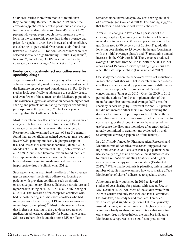OOP costs varied more from month to month than they do currently. Between 2016 and 2019, under the coverage-gap phase's scheduled phase-out, cost sharing for brand-name drugs decreased from 45 percent to 25 percent. However, even though the coinsurance rate is lower in the catastrophic phase than in the coverage gap, prices for specialty drugs have increased and beneficiary cost sharing is open ended. One recent study found that, between 2016 and 2019, for non-LIS enrollees who used selected specialty drugs (including Humira, Copaxone<sup>®</sup>, Revlimid $\overline{\text{}}^{\textcircled{6}}$ , and others), OOP costs rose even as the coverage gap was closing (Cubanski et al. 2019).<sup>12</sup>

#### **Evidence on cost-related nonadherence for specialty drugs**

To get a sense of how cost sharing may affect beneficiary adherence to specialty medications, we surveyed some of the literature on cost-related nonadherence in Part D. Few studies look specifically at adherence to specialty drugs, and even fewer of those focus on the Medicare population. The evidence suggests an association between higher cost sharing and patients not initiating therapy or abandoning prescriptions at the pharmacy. Yet factors beyond cost sharing also affect adherence behavior.

Most research on the effects of cost sharing has evaluated changes in behavior after the introduction of Part D coverage or as beneficiaries reach the coverage gap. Researchers who examined the start of Part D generally found that, as beneficiaries gained coverage, most reported lower OOP spending, modestly higher prescription use, and less cost-related nonadherence (Diebold 2018, Madden et al. 2009, Safran et al. 2010, Schneeweiss et al. 2009). A published literature review found that Part D's implementation was associated with greater use of both underused essential medicines and overused or inappropriate drugs (Polinski et al. 2011).

Subsequent studies examined the effects of the coverage gap on enrollees' medication adherence, focusing on patients with prevalent conditions such as chronic obstructive pulmonary disease, diabetes, heart failure, and hypertension (Fung et al. 2010, Yu et al. 2016, Zhang et al. 2013). That research often compared enrollees who had no cost-sharing subsidies with enrollees who had more generous benefits (e.g., LIS enrollees or enrollees in employer group plans).<sup>13</sup> Most of the research found that higher cost sharing in the gap decreased rates of medication adherence, primarily for brand-name drugs. Still, researchers also found that some LIS enrollees

remained nonadherent despite low cost sharing and lack of a coverage gap (Wei et al. 2013). This finding suggests that factors in addition to cost affect adherence.

After 2010, changes in law led to a phase-out of the coverage gap by (1) requiring manufacturers of brandname drugs to provide a 50 percent price discount in the gap (increased to 70 percent as of 2019); (2) gradually lowering cost sharing to 25 percent in the gap (consistent with the initial coverage phase); and (3) restraining annual increases in the OOP threshold. Those changes reduced average OOP costs from \$4,465 in 2010 to \$3,004 in 2011 among non-LIS enrollees with spending high enough to reach the catastrophic phase (Cubanski et al. 2017).

One study focused on the behavioral effects of reductions in gap-phase cost sharing. That research examined elderly enrollees in stand-alone drug plans and used a differencein-difference approach to compare non-LIS and LIS cancer patients (Jung et al. 2017). Over the 2009 to 2013 period, the authors found that implementation of the manufacturer discount reduced average OOP costs for specialty cancer drugs by 19 percent for non-LIS patients, but did not increase either their likelihood of using the drugs or the number of prescriptions filled. The authors noted that cancer patients may simply not be responsive to cost sharing, or the discount may not have affected their use because the discounts took place after enrollees had already committed to treatment (as evidenced by their reaching the coverage-gap phase of the benefit).

In a 2017 study funded by Pharmaceutical Research and Manufacturers of America, researchers suggested that high and variable OOP costs in Part D put patients who use specialty drugs at risk of poor clinical outcomes due to lower likelihood of initiating treatment and higher risk of gaps in therapy or discontinuation (Doshi et al.  $2017$ ).<sup>14</sup> While that hypothesis is plausible, only a limited number of studies have examined how cost sharing affects Medicare beneficiaries' adherence to specialty drugs.

A literature review published in 2016 reviewed 19 studies of cost sharing for patients with cancer, RA, or MS (Doshi et al. 2016c). Most of the studies were from 2009 or earlier, and only two included Part D enrollees. Of those two, one study found that Part D enrollees with cancer paid significantly more OOP than privately insured patients, and individuals with higher cost sharing were more likely to abandon prescriptions that were for oral cancer drugs. Nevertheless, the variable indicating Medicare coverage was not a significant predictor of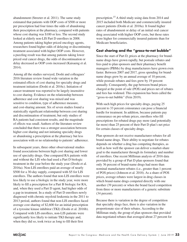abandonment (Streeter et al. 2011). The same study estimated that patients with OOP costs of \$500 or more per prescription had four times the odds of abandoning their prescription at the pharmacy, compared with patients whose cost sharing was \$100 or less. The second study looked at elderly non-LIS Part D enrollees in 2008. Among patients taking higher priced oncology agents, researchers found higher odds of delaying or discontinuing treatment associated with higher OOP costs. However, a puzzling result was that among patients taking lower priced oral cancer drugs, the odds of discontinuation or delay decreased as OOP costs increased (Kaisaeng et al. 2014).

Among all the studies surveyed, Doshi and colleagues' 2016 literature review found wide variation in the estimated effects of cost sharing for specialty drugs and treatment initiation (Doshi et al. 2016c). Initiation of cancer treatment was reported to be largely insensitive to cost sharing. Evidence on the relationship between adherence and cost sharing was mixed and was sensitive to condition, type of adherence measure, and cost-sharing amount. Six of seven studies found a statistically significant relationship between cost sharing and discontinuation of treatment, but only studies of RA patients had consistent results, and the magnitude of effects was small. Authors of the literature review concluded that there was a stronger association between higher cost sharing and not initiating specialty drugs or abandoning a prescription at the pharmacy but less association with or no relationship to patients' adherence.

In subsequent years, three other observational studies found associations between high cost sharing and lower use of specialty drugs. One compared RA patients with and without the LIS who had used a Part D biologic treatment in the year before the study year (Doshi et al. 2016a). Non-LIS enrollees paid an average of nearly \$500 for a 30-day supply, compared with \$5 for LIS enrollees. The authors found that non-LIS enrollees were less likely to use a biologic in the study year, were more likely to fill a prescription for a Part B biologic for RA, and, when they used a Part D agent, had higher odds of a gap in treatment. In a study of Part D enrollees newly diagnosed with chronic myeloid leukemia in the 2011 to 2013 period, authors found that non-LIS enrollees faced average cost sharing of \$2,600 for an initial prescription of a tyrosine kinase inhibitor (TKI) (Doshi et al. 2016b). Compared with LIS enrollees, non-LIS patients were significantly less likely to initiate TKI therapy and, when they did so, took twice as long to fill their first

prescription.15 A third study using data from 2014 and 2015 included both Medicare and commercially insured cancer patients (Doshi et al. 2018a). It found higher rates of abandonment or delay of an initial oral cancer drug associated with higher OOP costs, but those rates were higher for commercially insured patients than for Medicare beneficiaries.

# **Cost sharing and the "gross-to-net bubble"**

Since the start of Part D, prices at the pharmacy for brandname drugs have grown rapidly, but postsale rebates and fees paid to plan sponsors and their pharmacy benefit managers (PBMs) by drug manufacturers have grown even faster. Between 2007 and 2017, gross spending for brandname drugs grew by an annual average of 10 percent, while postsale rebates and fees grew by 19 percent annually. Consequently, the gap between brand prices charged at the point of sale (POS) and prices net of rebates and fees has widened. This expansion has been called the "gross-to-net bubble" (Fein 2019).

With such high prices for specialty drugs, paying 25 percent to 33 percent coinsurance can pose a financial hurdle for treatment. In addition, because patients pay coinsurance on pre-rebate prices, enrollees who fill prescriptions for rebated drugs pay more (and potentially far more) than 25 percent of their Part D plan's net price for certain classes of specialty drugs.

Plan sponsors do not receive manufacturer rebates for all brand-name drugs. Their ability to negotiate for rebates depends on whether a drug has competing therapies, as well as how well the sponsor can deliver a market-share goal to the manufacturer through its formulary and number of enrollees. One recent Milliman analysis of 2016 data provided by a group of Part D plan sponsors found that only 36 percent of brand-name drugs had more than nominal manufacturer rebates (i.e., greater than 1 percent of POS prices) (Johnson et al. 2018). As a share of POS prices, average rebates were largest in drug classes in which brand-name drugs competed directly with one another (39 percent) or when the brand faced competition from three or more manufacturers of a generic substitute (34 percent).

Because there is variation in the degree of competition that specialty drugs face, there is also variation in the proportionate size of their rebates. According to the Milliman study, the group of plan sponsors that provided data negotiated rebates that averaged about 27 percent for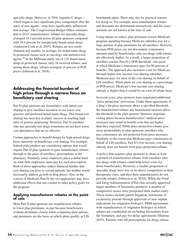specialty drugs. However, in 2016, hepatitis C drugs which began to face significant price competition after the entry of new agents—may have significantly influenced that average. The Congressional Budget Office estimates that in 2015, manufacturers' rebates for specialty drugs averaged 10.5 percent across all plan sponsors compared with 28.4 percent for nonspecialty brand-name drugs (Anderson-Cook et al. 2019). Rebates are less easily obtained and smaller, on average, for brand-name drugs in protected classes such as oncology and antiretroviral agents.16 In the Milliman study, out of 124 brand-name drugs in protected classes, only 16 received rebates, and among those drugs, rebates averaged 14 percent of POS prices (Johnson et al. 2018).

# **Addressing the financial burden of high prices through a narrow focus on beneficiary cost sharing**

Part D plan sponsors use formularies with tiered cost sharing to give enrollees incentive to use lower cost generics and preferred brand-name drugs. This tiered cost sharing has been key to plans' success at reaching high rates of generic dispensing. However, Part D enrollees who use specialty-tier drugs sometimes do not have lower cost alternatives that are as effective.

Certain approaches to benefit design for high-priced drugs focus narrowly on beneficiary cost sharing. For example, federal policymakers are considering options that would require Part D plan sponsors to pass manufacturer rebates through to the price of enrollees' prescriptions at the pharmacy. Similarly, some employers place a dollar limit on what their employees must pay for each prescription. Both of those approaches reduce financial hurdles that cost sharing can pose to certain patients, but neither would necessarily address growth in drug prices. Also, in the context of Medicare Part D, the two approaches may have additional effects that run counter to other policy goals for the program.

#### **Applying manufacturer rebates at the point of sale**

Most Part D plan sponsors use manufacturer rebates to lower plan premiums, in part because beneficiaries evaluate premiums closely when comparing plan options, and premiums are the basis on which plans qualify as LIS

benchmark plans. There may also be practical reasons for doing so. For example, most manufacturer rebates and discounts are determined retroactively, and the exact amounts are not known at the time of sale.

Using rebates to reduce plan premiums lowers Medicare program spending because Medicare subsidies pay for a large portion of plan premiums for all enrollees. However, because POS prices are not discounted, coinsurance amounts paid by beneficiaries who use drugs with rebates are effectively higher. As a result, a larger proportion of enrollees reaches Part D's OOP threshold—the point at which Medicare's reinsurance pays for 80 percent of benefits. The approach also increases costs for Medicare through higher low-income cost-sharing subsidies. Medicare pays for most of the cost sharing on behalf of LIS enrollees. When plans set cost sharing as a percentage of POS prices, Medicare's low-income cost-sharing subsidy is higher than it would be on a net-of-rebate basis.

In recent years, plan sponsors have negotiated additional "price-protection" provisions. Under these agreements, if a drug's list price increases above a specified threshold, the manufacturer rebates any incremental increase above the threshold to the plan sponsor. Sponsors negotiate ceiling prices because manufacturers' midyear price increases may result in benefit costs that are higher than they expected. While price-protection rebates give more predictability to plan sponsors, enrollees who pay coinsurance are not protected from price increases. Similarly, to the extent that Medicare pays coinsurance on behalf of LIS enrollees, Part D's low-income cost-sharing subsidy does not benefit from price-protection rebates.

A policy that requires plan sponsors to share at least a portion of manufacturer rebates with enrollees who use drugs with rebates could help lower costs for those beneficiaries. However, a sizable proportion of specialty drugs have few or no direct competitors in their therapeutic class, and thus their manufacturers do not provide rebates (Johnson et al. 2018). While the Food and Drug Administration (FDA) has recently approved larger numbers of biosimilar products, a number of competitive tactics have postponed their market entry. Those tactics include patent litigation, extensions of exclusivity periods through approvals of new orphan indications for originator biologics, PBM agreements with manufacturers of originator biologics in which rebates are conditional on excluding biosimilars from the formulary, and pay-for-delay agreements (Mattina 2019). Patients who fill prescriptions for drugs whose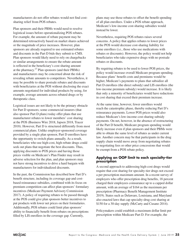manufacturers do not offer rebates would not find costsharing relief from POS rebates.

Plan sponsors and their PBMs would need to resolve logistical issues before operationalizing POS rebates. For example, the amount of rebate payment may be determined retroactively based on market shares achieved or the magnitude of price increases. However, plan sponsors are already required to use estimated rebates and discounts in the Part D bids they submit to CMS. Plan sponsors would likely need to rely on chargebacks or similar arrangements to ensure the rebate amount is reflected in the beneficiary's cost sharing amount at the pharmacy.<sup>17</sup> Plan sponsors (and their PBMs) and manufacturers may be concerned about the risk of revealing rebate amounts to competitors. Nevertheless, it may be possible to share postsale rebates and discounts with beneficiaries at the POS without disclosing the exact amounts negotiated for individual products by using, for example, average amounts across rebated drugs or by therapeutic class.

Logistical issues are not likely to be the primary obstacle for Part D sponsors; some commercial insurers (that also sponsor Part D plans) today offer plans that use manufacturer rebates to lower members' cost sharing at the POS (Business Wire 2018, Japsen 2018, Tracer 2018). However, Part D is structured differently from most commercial plans. Unlike employer-sponsored coverage provided by a single plan sponsor, Part D enrollees have the opportunity to switch plans annually. As a result, beneficiaries who use high-cost, high-rebate drugs could seek out plans that negotiate the best discounts. Thus, applying discounts to POS prices and having those prices visible on Medicare's Plan Finder may result in adverse selection for the plan, and plan sponsors may not have strong incentives to drive a hard bargain with manufacturers for individualized discounts.

In the past, the Commission has described how Part D's benefit structure, including its coverage gap and costbased reinsurance subsidies, combined with its focus on premium competition can affect plan sponsors' formulary incentives (Medicare Payment Advisory Commission 2017). A policy of requiring rebates to be passed through at the POS could give plan sponsors better incentives to put products with lower net prices on their formularies. Additionally, POS rebates could limit plan sponsors' ability to financially benefit from rebates on prescriptions filled by LIS enrollees in the coverage gap. Currently,

plans may use those rebates to offset the benefit spending of all plan enrollees. Under a POS rebate approach, Medicare's low-income cost-sharing subsidies would instead be lower.

Nevertheless, requiring POS rebates raises several concerns. A policy that applies rebates to lower prices at the POS would decrease cost-sharing liability for some enrollees (i.e., those who use medications with rebates or discounts). However, the policy would not help beneficiaries who take expensive drugs with no postsale rebates or discounts.

By requiring rebates to be used to lower POS prices, the policy would increase overall Medicare program spending. Because plans' benefit costs and premiums would be higher, Medicare's payments to plans that subsidize all Part D enrollees (the direct subsidy) and LIS enrollees (the low-income premium subsidy) would increase. It is likely that only a minority of beneficiaries would have reductions in cost sharing that exceed their premium increase.

At the same time, however, fewer enrollees would reach the catastrophic phase, thereby reducing Part D's reinsurance payments. Lower POS prices would also reduce Medicare's low-income cost-sharing subsidy payments. On net, however, in the absence of restructuring of the Part D benefit, Medicare program spending would likely increase even if plan sponsors and their PBMs were able to obtain the same level of rebates as under current law. Another concern may be that participants in the drug supply chain would move away from negotiating rebates to negotiating fees or other price concessions that would be exempt from a POS rebate policy.

#### **Applying an OOP limit to each specialty-tier prescription**

A second approach to addressing high-cost drugs would require that cost sharing for specialty-tier drugs not exceed a per prescription maximum amount. In a recent survey of employers who offer prescription drug benefits, 18 percent charged their employees coinsurance up to a capped dollar amount, with an average of \$164 as the maximum per prescription (Pharmacy Benefit Management Institute 2019). States such as Delaware, Louisiana, and Maryland also enacted laws that cap specialty-drug cost sharing at \$150 for a 30-day supply (McCarty and Cusano 2014).

Policymakers could establish a maximum dollar limit per prescription within Medicare Part D. For example, the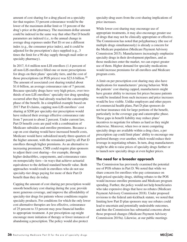amount of cost sharing for a drug placed on a specialty tier that requires 33 percent coinsurance would be the lower of the maximum dollar limit or 33 percent of the drug's price at the pharmacy. The maximum dollar amount could be indexed in the same way that other Part D benefit parameters are indexed (i.e., to the annual change in average drug expenses under Part D) or use a different index (e.g., the consumer price index), and it could be adjusted for the prescription's days supplied (e.g., 3 times the limit for a 90-day supply through mail order or specialty pharmacy).

In 2017, 0.4 million non-LIS enrollees (1.4 percent of all non-LIS enrollees) filled one or more prescriptions for drugs on their plans' specialty tiers, and the cost of those prescriptions (at POS prices) was \$23.6 billion.<sup>18</sup> The amount of associated cost sharing totaled about \$1.6 billion, an average coinsurance rate of 7 percent. Because specialty drugs have very high prices, over twothirds of non-LIS enrollees' specialty-tier drug spending occurred after they had already reached the catastrophic phase of the benefit. In a simplified example based on 2017 Part D claims, capping non-LIS enrollees' cost sharing at \$200 per specialty-tier prescription would have reduced their average effective coinsurance rate from 7 percent to about 2 percent. Under current law, Part D benefit costs are paid with a combination of Medicare subsidies and enrollee premiums. Because a cap on cost sharing would have increased benefit costs, Medicare would have subsidized nearly three-quarters of the higher amount, with the remainder paid by all Part D enrollees through higher premiums. As an alternative to increasing premiums, CMS could require plan sponsors to adjust their cost sharing—for example, through higher deductibles, copayments, and coinsurance rates on nonspecialty tiers—in ways that achieve actuarial equivalence to the defined standard benefit value. Both approaches would result in enrollees who do not use specialty-tier drugs paying for more of their Part D benefit than they do today.

Capping the amount of cost sharing per prescription would smooth beneficiary cost sharing during the year, provide more generous coverage, and improve the affordability of specialty-tier drugs for patients whose conditions require specialty products. For conditions for which the only lower cost alternative therapies are less effective, coinsurance of 25 percent to 33 percent may pose financial hurdles to appropriate treatment. A per prescription cap might encourage more initiation of therapy or fewer instances of abandoning a prescription. The policy would also protect

specialty-drug users from the cost-sharing implications of price increases.

While lower cost sharing may encourage use of appropriate treatments, it may also encourage greater use of drugs that may not be clinically appropriate or effective. The Commission has noted that polypharmacy (the use of multiple drugs simultaneously) is already a concern for the Medicare population (Medicare Payment Advisory Commission 2015). Manufacturers increasingly emphasize specialty drugs in their development pipelines, and as those medicines enter the market, we can expect greater use of them. Higher demand for specialty medications would increase premiums for all enrollees and Medicare program costs.

A limit on per prescription cost sharing may also have implications for manufacturers' pricing behavior. With the patients' cost sharing capped, manufacturers might have greater ability to increase list prices because patients would be insulated from such increases and price increases would be less visible. Unlike employers and other payers of commercial health plans, Part D plan sponsors do not bear insurance risk for large portions of the benefit, particularly in the coverage gap and catastrophic phase. These gaps in benefit liability may reduce plans' incentives to negotiate for rebates as hard as they might otherwise. Moreover, when two or more competing specialty drugs are available within a drug class, a per prescription cap could limit plans' ability to encourage one preferred therapy over another, which would reduce their leverage in negotiating rebates. In turn, drug manufacturers might be able to raise prices of specialty drugs further or to launch new specialty drugs at even higher prices.

## **The need for a broader approach**

The Commission has previously examined the potential use of POS rebates in Part D. We noted that while we share concern for enrollees who pay coinsurance on high-priced specialty drugs, shifting rebates to the POS would increase enrollee premiums and Medicare program spending. Further, the policy would not help beneficiaries who take expensive drugs that have no rebates (Medicare Payment Advisory Commission 2018). Under proposed revisions to the federal anti-kickback statute, we noted that limiting how Part D plan sponsors may use rebates could lead to uncertain and potentially undesirable outcomes, and thus the Commission has substantial concerns about those proposed changes (Medicare Payment Advisory Commission 2019a). Likewise, at our public meetings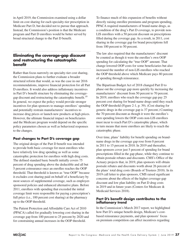in April 2019, the Commission examined using a dollar limit on cost sharing for each specialty-tier prescription in Medicare Part D, but decided not to pursue that approach. Instead, the Commission's position is that the Medicare program and Part D enrollees would be better served by broad structural change to the Part D benefit.

# **Eliminating the coverage-gap discount and restructuring the catastrophic benefit**

Rather than focus narrowly on specialty-tier cost sharing, the Commission plans to further evaluate a broader structural reform that would, as was the case in our 2016 recommendations, improve financial protection for all Part D enrollees. It would also address inflationary incentives in Part D's benefit structure by eliminating the coveragegap discount and restructuring the catastrophic benefit.<sup>19</sup> In general, we expect the policy would provide stronger incentives for plan sponsors to manage enrollees' spending and potentially restrain manufacturers' incentives to increase drug prices or launch new products at high prices. However, the ultimate financial impact on beneficiaries and the Medicare program would depend on the specific policy parameters chosen as well as behavioral responses to the changes.

## **Past changes to Part D's coverage gap**

The original design of the Part D benefit was intended to provide both basic coverage for most enrollees who have relatively low drug spending as well as some catastrophic protection for enrollees with high drug costs. The defined standard basic benefit initially covers 75 percent of drug spending above the deductible and all but 5 percent coinsurance once an enrollee reaches the OOP threshold. That threshold is known as "true OOP" because it excludes cost sharing paid on behalf of a beneficiary by most sources of supplemental coverage, such as employersponsored policies and enhanced alternative plans. Before 2011, enrollees with spending that exceeded the initial coverage limit were responsible for paying a prescription's full price (i.e., 100 percent cost sharing) at the pharmacy up to the OOP threshold.

The Patient Protection and Affordable Care Act of 2010 (PPACA) called for gradually lowering cost sharing in the coverage gap from 100 percent to 25 percent by 2020 and for constraining annual increases in the OOP threshold.

To finance much of this expansion of benefits without directly raising enrollee premiums and program spending, PPACA required manufacturers of brand-name drugs, as a condition of the drug's Part D coverage, to provide non-LIS enrollees with a 50 percent discount on prescriptions filled during the coverage gap. As a result, in 2011, cost sharing in the coverage gap for brand prescriptions fell from 100 percent to 50 percent.

The law also required that the manufacturers' discount be counted as though it were the enrollee's own OOP spending for calculating the "true OOP" amount. That change lowered OOP costs for some beneficiaries but also increased the number of non-LIS enrollees who reached the OOP threshold above which Medicare pays 80 percent of spending through reinsurance.

The Bipartisan Budget Act of 2018 changed Part D to phase out the coverage gap more quickly by increasing the manufacturers' discount from 50 percent to 70 percent. In 2019, enrollees who reach the coverage gap pay 25 percent cost sharing for brand-name drugs until they reach the OOP threshold (Figure 2-1, p. 39). (Cost sharing for generic drugs in the coverage gap is 37 percent.) Counting the 70 percent discount as though it were the enrollee's own spending lowers the OOP costs non-LIS enrollees must incur to reach Part D's catastrophic phase, which in turn means that more enrollees are likely to reach the catastrophic phase.

Over time, plans' liability for benefit spending on brandname drugs in the coverage gap rose from 0 percent in 2011 to 15 percent in 2018. In 2019 and thereafter, plan sponsors cover just 5 percent of spending for brand prescriptions filled in the gap phase, while they continue to obtain postsale rebates and discounts. CMS's Office of the Actuary projects that, in 2019, plan sponsors will obtain postsale rebates and discounts worth about 26 percent of the plans' total drug costs (Boards of Trustees 2018). In its 2019 call letter to plan sponsors, CMS raised significant concerns about the effects of the higher coverage-gap discount and low plan liability on Part D drug costs in 2019 and in future years (Centers for Medicare & Medicaid Services 2018).

#### **Part D's benefit design contributes to the inflationary trend**

In the Commission's March 2017 report, we highlighted how Part D's unique benefit design, Medicare's costbased reinsurance payments, and plan sponsors' focus on premium competition can affect incentives regarding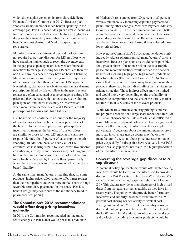which drugs a plan covers on its formulary (Medicare Payment Advisory Commission 2017). Because plan sponsors are not liable for much benefit spending in the coverage gap, Part D's benefit design can create incentives for plan sponsors to include certain high-cost, high-rebate drugs on their formulary over others, which can increase beneficiary cost sharing and Medicare spending for reinsurance.

Manufacturers of brand-name drugs and biologics are not required to pay any discount for LIS enrollees who have spending high enough to reach the coverage gap. In the gap phase, plan sponsors face weaker financial incentives to manage spending for LIS enrollees than for non-LIS enrollees because they have no benefit liability; Medicare's low-income cost-sharing subsidy pays for all of the drug costs other than the nominal LIS copayments. Nevertheless, plan sponsors obtain rebates on brand-name prescriptions filled by LIS enrollees in the gap. Because rebates are often calculated as a percentage of a drug's list price and they increase with market share (i.e., volume), plan sponsors and their PBMs may be less resistant when manufacturers raise prices and LIS enrollees fill prescriptions for drugs with high list prices.

LIS beneficiaries continue to account for the majority of beneficiaries who reach the catastrophic phase of the benefit. In the catastrophic phase, plan sponsors' incentives to manage the benefits of LIS enrollees are similar to those for non-LIS enrollees: Plans are responsible only for 15 percent of catastrophic benefit spending. In addition, because nearly all of LIS enrollees' cost sharing is paid by Medicare's low-income cost-sharing subsidy, some sponsors may not bargain hard with manufacturers over the price of medications more likely to be used by LIS enrollees, particularly when there are rebates to offset some or all of the plan's benefit liability.

At the same time, manufacturers may find that, for some products, higher prices allow them to offer larger rebates than their competitors and gain more market share through favorable formulary placement. In this sense, Part D's benefit design may contribute to the inflationary trend in pharmaceutical pricing.

#### **The Commission's 2016 recommendations would affect drug pricing incentives indirectly**

In 2016, the Commission recommended an integrated set of changes to Part D that would phase in a reduction of Medicare's reinsurance from 80 percent to 20 percent while simultaneously increasing capitated payments to plans, among other changes (Medicare Payment Advisory Commission 2016). Those recommendations could better align plan sponsors' financial incentives to include lower priced drugs on their formularies. Beneficiaries would also benefit from lower cost sharing if they selected those lower priced drugs.

However, the Commission's 2016 recommendations only indirectly address pharmaceutical manufacturers' pricing incentives. Because plan sponsors would be responsible for a greater share of insurance risk in the catastrophic phase, the recommendations would reduce the financial benefits of including high-price, high-rebate products on their formularies (Barnhart and Gomberg 2016). To the extent that plan sponsors move away from preferring those products, there may be an indirect effect on manufacturers' pricing strategies. Those indirect effects may be limited and would likely vary depending on the availability of therapeutic competition and the size of the Part D market relative to total U.S. sales of the relevant products.

While Medicare's influence on drug pricing is indirect, the program accounts for a large share (about one-third) of U.S. retail pharmaceutical sales (Martin et al. 2019). As a result, Medicare's payment policies can have a significant financial effect on drug manufacturers. For example, policymakers' decisions about the amount manufacturers must pay in coverage-gap discounts may factor into manufacturers' decisions about price increases or launch prices, especially for drugs that have relatively lower POS prices because gap discounts make up a higher proportion of the manufacturers' revenues.

#### **Converting the coverage-gap discount to a cap discount**

A potential policy approach that would offer better pricing incentives would be to require manufacturers to provide discounts in Part D's catastrophic phase ("cap discount") rather than in the coverage gap (see right side of Figure 2-1). This change may deter manufacturers of high-priced drugs from increasing prices as rapidly as they have in recent years. The policy would provide better formulary incentives and simplify the benefit structure with a 25 percent cost sharing (or actuarially equivalent costsharing amounts) and 75 percent plan liability across all drug and biologic products between the deductible and the OOP threshold. Manufacturers of brand-name drugs and biologics (including biosimilar products) would be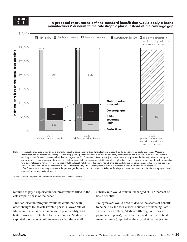**FIGURE 2–1**

**A proposed restructured defined standard benefit that would apply a brand manufacturers' discount to the catastrophic phase instead of the coverage gap**



reinsurance and/or enrollee cost sharing. "Gross drug spending" refers to amounts paid at the pharmacy before rebates and discounts. "Cap discount" refers to applying a manufacturers' discount to brand-name drugs above Part D's out-of-pocket threshold (i.e., in the catastrophic phase of the benefit) instead of during the coverage gap. The coverage gap (between the initial coverage limit and the out-of-pocket threshold) is depicted as it would apply to brand-name drugs for an enrollee who does not receive Part D's low-income subsidy (LIS). Although not shown in the figure, non-LIS enrollees' cost sharing for generic drugs in the coverage gap is 37 percent in 2019 and will be 25 percent in 2020. Under current law, Part D's out-of-pocket threshold is expected to increase by nearly 25 percent in 2020. \*The Commission is continuing to evaluate the percentages that would be paid by each stakeholder (Part D plans, brand manufacturers, the Medicare program, and enrollees) under a restructured benefit.

Source: MedPAC depiction of current and proposed Part D benefit structure.

required to pay a cap discount on prescriptions filled in the catastrophic phase of the benefit.

This cap-discount program would be combined with other changes to the catastrophic phase: a lower rate of Medicare reinsurance, an increase in plan liability, and better insurance protection for beneficiaries. Medicare's capitated payments would increase so that the overall

subsidy rate would remain unchanged at 74.5 percent of basic benefits.

Policymakers would need to decide the shares of benefits to be paid by the four current sources of financing Part D benefits: enrollees, Medicare (through reinsurance payments to plans), plan sponsors, and pharmaceutical manufacturers (depicted as the cross-hatched region in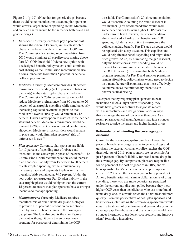Figure 2-1 (p. 39). (Note that for generic drugs, because there would be no manufacturer discount, plan sponsors would cover a larger share of spending so that Medicare and enrollee shares would be the same for both brand and generic drugs.)

- *Enrollees:* Currently, enrollees pay 5 percent cost sharing (based on POS prices) in the catastrophic phase of the benefit with no maximum OOP limit. The Commission's standing recommendation from 2016 would eliminate all enrollee cost sharing above Part D's OOP threshold. Under a new option with a redesigned benefit, policymakers could eliminate cost sharing as the Commission recommended, use a coinsurance rate lower than 5 percent, or select a dollar copay amount.
- *• Medicare:* Currently, Medicare provides 80 percent reinsurance for spending (net of postsale rebates and discounts) in the catastrophic phase of the benefit. The Commission's 2016 recommendation would reduce Medicare's reinsurance from 80 percent to 20 percent of catastrophic spending while simultaneously increasing capitated payments to plans so that Medicare's overall subsidy would remain at 74.5 percent. Under a new option to restructure the defined standard benefit, Medicare's reinsurance would be lowered to 20 percent or less or would be eliminated altogether. Medicare's risk corridors would remain in place and would limit plan sponsors' risk of unforeseen losses.20
- *• Plan sponsors:* Currently, plan sponsors are liable for 15 percent of spending (net of rebates and discounts) in the catastrophic phase of the benefit. The Commission's 2016 recommendation would increase plan sponsors' liability from 15 percent to 80 percent of catastrophic spending, while simultaneously increasing capitated payments to plans so that the overall subsidy remained at 74.5 percent. Under the new option to restructure Part D, plan liability in the catastrophic phase would be higher than the current 15 percent to ensure that plan sponsors have a stronger incentive to manage spending.
- *Manufacturers:* Currently, Medicare requires manufacturers of brand-name drugs and biologics to provide a 70 percent discount on prescriptions filled by non-LIS beneficiaries in the coveragegap phase. The law also counts the manufacturer discount as though it were the enrollees' own spending for purposes of determining the OOP

threshold. The Commission's 2016 recommendation would discontinue counting the brand discount in this manner. (This recommendation would lead some beneficiaries to incur higher OOP costs than under current law. However, the recommendation also introduced a hard cap on beneficiaries' OOP spending.) Under a new option to restructure the defined standard benefit, Part D's gap discount would be replaced with a cap discount. This cap discount would help finance benefit spending and might deter price growth. (Also, by eliminating the gap discount, only the beneficiaries' own spending would be relevant for determining whether she or he reached the OOP threshold.) To ensure that both Medicare program spending for Part D and enrollee premiums remain affordable, policymakers would need to decide on a manufacturer discount rate that most effectively counterbalances the inflationary incentives in pharmaceutical pricing.

We expect that by requiring plan sponsors to bear insurance risk on a larger share of spending, they would have greater incentives to negotiate rebates with manufacturers and design formularies in ways that encourage the use of lower cost therapies. As a result, pharmaceutical manufacturers may face stronger resistance to price increases and higher launch prices.

#### **Rationale for eliminating the coverage-gap discount**

Currently, the coverage-gap discount both lowers the price of brand-name drugs relative to generic drugs and quickens the pace at which an enrollee reaches the OOP threshold. As of 2019, plan sponsors are responsible for just 5 percent of benefit liability for brand-name drugs in the coverage gap. By comparison, plans are responsible for 63 percent of the cost of generics in 2019, and will be responsible for 75 percent of generic prescription costs in 2020, when the coverage gap is fully phased out. Among beneficiaries with similar dollar amounts of drug spending, those who use more generics are penalized under the current gap-discount policy because they incur higher OOP costs than beneficiaries who use more brandname drugs and, as a result, reach the OOP threshold more quickly. From the perspectives of both plan sponsors and beneficiaries, eliminating the coverage-gap discount would equalize treatment of brand-name and generic drugs in the coverage gap. Beneficiaries and plan sponsors would face stronger incentives to use lower cost products and improve plans' formulary incentives.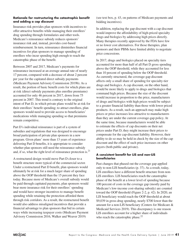#### **Rationale for restructuring the catastrophic benefit and adding a cap discount**

Insurance risk provides plan sponsors with incentives to offer attractive benefits while managing their enrollees' drug spending through formularies and other tools. Medicare's reinsurance subsidy reduces sponsors' insurance risk and, instead, provides cost-based reimbursement. In turn, reinsurance diminishes financial incentives for plan sponsors to manage spending of enrollees who incur spending high enough to reach the catastrophic phase of the benefit.

Between 2007 and 2017, Medicare's payments for reinsurance increased at an average annual rate of nearly 17 percent, compared with a decrease of about 2 percent per year for the capitated direct subsidy payments (Medicare Payment Advisory Commission 2019b). As a result, the portion of basic benefit costs for which plans are at risk (direct subsidy payments plus enrollee premiums) accounted for only 46 percent in 2017, down from 75 percent in 2007. This trend is contrary to the original intent of Part D, in which private plans would be at risk for their enrollees' benefit spending; to attract enrollees, plan sponsors would need to provide access to beneficiaries' medications while managing spending so that premiums remain competitive.

Part D's individual reinsurance is part of a system of subsidies and regulations that was designed to encourage broad participation of private plan sponsors in a new program. Given plans' more than 13 years of experience delivering Part D benefits, it is appropriate to consider whether plan sponsors still need the reinsurance subsidy and, if so, what the right level of reinsurance protection is. $^{21}$ 

A restructured design would move Part D closer to a benefit structure more typical of the commercial sector. Under a restructured Part D benefit, plan sponsors would ultimately be at risk for a much larger share of spending above the OOP threshold than the 15 percent they face today. Because more of Medicare's overall subsidy would be paid through capitated payments, plan sponsors would bear more insurance risk for their enrollees' spending and would have stronger incentives to manage benefit spending while retaining the protection afforded them through risk corridors. As a result, the restructured benefit would also address misaligned incentives that provide a financial advantage to plan sponsors that bid in certain ways while increasing taxpayer costs (Medicare Payment Advisory Commission 2016, Walker and Weaver 2019)

(see text box, p. 43, on patterns of Medicare payments and bidding incentives).

In addition, replacing the gap discount with a cap discount would improve the affordability of high-priced specialty drugs and biologics by addressing high prices directly. Many therapies recently approved by the FDA have few or no lower cost alternatives. For those therapies, plan sponsors and their PBMs have limited ability to negotiate price concessions.

In 2017, drugs and biologics placed on specialty tiers accounted for more than half of all Part D gross spending above the OOP threshold, while they accounted for less than 10 percent of spending below the OOP threshold. As currently structured, the coverage-gap discount affects only a small share of spending for specialty-tier drugs and biologics. A cap discount, on the other hand, would be more likely to apply to drugs and biologics that command high prices. Because the size of the discount would increase in proportion to the price, manufacturers of drugs and biologics with high prices would be subject to a greater financial liability than those with lower priced products. As a result, such an approach may make high prices or price increases less attractive to manufacturers than they are under the current coverage-gap policy. At the same time, because manufacturers would be able to estimate the effects of cap discounts on their net prices under Part D, they might increase their prices to compensate for the cap-discount liability. However, their ability to do so may be held in check by the size of the cap discount and the effect of such price increases on other payers (both public and private).

#### **A consistent benefit for LIS and non-LIS beneficiaries**

Past changes that phased out the coverage gap applied only to non-LIS beneficiaries (p. 37). As a result, today, LIS enrollees have a different benefit structure from non-LIS enrollees. LIS beneficiaries reach the catastrophic phase of the benefit at a lower level of spending because 100 percent of costs in the coverage gap (mostly paid by Medicare's low-income cost-sharing subsidy) are counted toward the OOP threshold (Figure 2-2, p. 42). In 2020, an LIS beneficiary would reach the OOP threshold at about \$9,039 in gross drug spending, nearly \$700 lower than the amount for a non-LIS beneficiary (Centers for Medicare & Medicaid Services 2019). This discrepancy is one reason LIS enrollees account for a higher share of individuals who reach the catastrophic phase. $^{22}$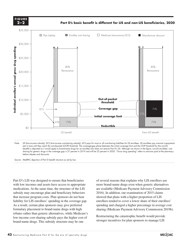**FIGURE 2–2**

**Part D's basic benefit is different for LIS and non-LIS beneficiaries, 2020**



Note: LIS (low-income subsidy), LICS (low-income cost-sharing subsidy). LICS pays for most or all cost-sharing liabilities for LIS enrollees. LIS enrollees pay nominal copayments (set in law) until they reach the out-of-pocket (OOP) threshold. The coverage-gap phase (between the initial coverage limit and the OOP threshold for the non-LIS benefit) is depicted as it would apply to brand-name drugs for an enrollee who does not receive Part D's LIS. Although not shown in the figure, non-LIS enrollees' cost sharing for generic drugs in the coverage gap is 37 percent in 2019 and will be 25 percent in 2020. "Gross drug spending" refers to amounts paid at the pharmacy before rebates and discounts.

Source: MedPAC depiction of Part D benefit structure as set by law.

Part D's LIS was designed to ensure that beneficiaries with low incomes and assets have access to appropriate medications. At the same time, the structure of the LIS subsidy may encourage plan and beneficiary behaviors that increase program costs. Plan sponsors do not bear liability for LIS enrollees' spending in the coverage gap. As a result, certain plan sponsors may give preferred formulary placement to brand-name drugs with high rebates rather than generic alternatives, while Medicare's low-income cost-sharing subsidy pays the higher cost of brand-name drugs. This subsidy structure may be one

of several reasons that explains why LIS enrollees use more brand-name drugs even when generic alternatives are available (Medicare Payment Advisory Commission 2016). In addition, our examination of 2015 claims showed that plans with a higher proportion of LIS enrollees tended to cover a lower share of their enrollees' spending and charged a higher percentage in average cost sharing (Medicare Payment Advisory Commission 2019b).

Restructuring the catastrophic benefit would provide stronger incentives for plan sponsors to manage LIS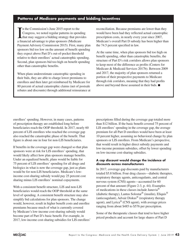#### **Patterns of Medicare payments and bidding incentives**

In the Commission's June 2015 report to the<br>Congress, we noted regular patterns in spendi<br>that may suggest a bidding strategy that provi<br>a financial advantage to plan sponsors (Medicare n the Commission's June 2015 report to the Congress, we noted regular patterns in spending that may suggest a bidding strategy that provides Payment Advisory Commission 2015). First, many plan sponsors bid too low on the amount of benefit spending they expect above Part D's out-of-pocket threshold relative to their enrollees' actual catastrophic spending. Second, plan sponsors bid too high on benefit spending other than catastrophic benefits.

When plans underestimate catastrophic spending in their bids, they are able to charge lower premiums to enrollees and then later get reimbursed by Medicare for 80 percent of actual catastrophic claims (net of postsale rebates and discounts) through additional reinsurance at reconciliation. Because premiums are lower than they would have been had they reflected actual catastrophic prescription costs, in nearly every year since 2007, Medicare's overall Part D subsidy has been higher than the 74.5 percent specified in law.

At the same time, when plan sponsors bid too high on benefit spending, other than catastrophic benefits, the structure of Part D's risk corridors allows plan sponsors to keep most of the difference as profits (Centers for Medicare & Medicaid Services 2017b). Between 2009 and 2017, the majority of plan sponsors returned a portion of their prospective payments to Medicare through risk corridors, meaning that they had profits above and beyond those assumed in their bids. ■

enrollees' spending. However, in many cases, patterns of prescription therapy are established long before beneficiaries reach the OOP threshold. In 2017, nearly 60 percent of LIS enrollees who reached the coverage gap also reached the catastrophic phase of the benefit. That figure is about one in four for non-LIS beneficiaries.

If benefits in the coverage gap were changed so that plan sponsors were at risk for LIS enrollees' spending, that would likely affect how plan sponsors manage benefits. Under an equalized benefit, plans would be liable for 75 percent of LIS enrollees' spending for all drugs and biologics in what is now the coverage gap, just as plans would be for non-LIS beneficiaries. Medicare's lowincome cost-sharing subsidy would pay 25 percent cost sharing minus LIS enrollees' nominal copayments.

With a consistent benefit structure, LIS and non-LIS beneficiaries would reach the OOP threshold at the same level of spending. A consistent benefit structure may also simplify bid calculations for plan sponsors. The change would, however, result in higher benefit costs and enrollee premiums because much of what is currently covered by Medicare's low-income cost-sharing subsidy would become part of Part D's basic benefit. For example, in 2017, low-income cost-sharing subsidies for LIS enrollees' prescriptions filled during the coverage gap totaled more than \$12 billion. If the basic benefit covered 75 percent of LIS enrollees' spending in the coverage gap, the average premium for all Part D enrollees would have been at least 10 percent higher, assuming no behavioral change by plan sponsors or LIS enrollees. From Medicare's perspective, that would result in higher direct subsidy payments and low-income premium subsidies, offset by lower spending on low-income cost-sharing subsidies.

#### **A cap discount would change the incidence of discounts across manufacturers**

In 2017, coverage-gap discounts paid by manufacturers totaled \$5.8 billion. Four drug classes—diabetic therapies, respiratory therapy agents, anticoagulants, and central nervous system (CNS) agents—accounted for 60 percent of that amount (Figure 2-3, p. 44). Examples of medications in these classes include Januvia® (diabetic therapy), Lantus Solostar<sup>®</sup> (insulin), Eliquis<sup>®</sup> (anticoagulant), Advair Diskus® (respiratory therapy agent), and Lyrica® (CNS agent), with average prices ranging from about \$485 to \$576 per prescription.

Some of the therapeutic classes that tend to have higher priced products and account for large shares of Part D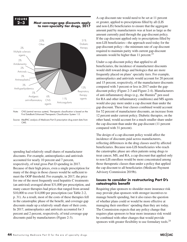#### **FIGURE 2–3**

#### **Most coverage-gap discounts apply to non–specialty tier drugs, 2017**



Note: CNS (central nervous system). Therapeutic classification is based on the First DataBank Enhanced Therapeutic Classification System 1.0.

Source: MedPAC analysis of Medicare Part D prescription drug event data from **CMS** Source:

spending had relatively small shares of manufacturer discounts. For example, antineoplastics and antivirals accounted for nearly 10 percent and 7 percent, respectively, of total gross Part D spending in 2017. Because of their high prices, even a single prescription for many of the drugs in those classes would be sufficient to meet the OOP threshold. For example, in 2017, the price for one of the most frequently used hepatitis C treatments (an antiviral) averaged about \$31,000 per prescription, and many cancer therapies had prices that ranged from around \$10,000 to over \$14,000 per prescription (see Table 2-2, p. 31). As a result, most of the costs of these therapies fell in the catastrophic phase of the benefit, and coverage-gap discounts made up a relatively small share of their costs. In 2017, antineoplastics and antivirals accounted for 3 percent and 2 percent, respectively, of total coverage-gap discounts paid by manufacturers (Figure 2-3).

A cap discount rate would need to be set at 11 percent or greater, applied to prescriptions filled by all (LIS and non-LIS) beneficiaries to ensure that the aggregate amount paid by manufacturers was at least as large as the amount currently paid through the gap-discount policy. If the cap discount applied only to prescriptions filled by non-LIS beneficiaries—the approach used today for the gap-discount policy—the minimum rate of cap discount required to maintain parity with current gap-discount amounts would be higher than 11 percent. $^{23}$ 

Under a cap-discount policy that applied to all beneficiaries, the incidence of manufacturer discounts would shift toward drugs and biologics that are more frequently placed on plans' specialty tiers. For example, antineoplastics and antivirals would account for 20 percent and 15 percent, respectively, of the manufacturer discounts compared with 3 percent or less in 2017 under the gapdiscount policy (Figure 2-3 and Figure 2-4). Manufacturers of anti-inflammatory drugs (e.g., the Humira<sup>®</sup> pen used for RA and other inflammatory conditions) and MS agents would also pay more under a cap discount than under the gap discount. These four classes combined would account for 52 percent of manufacturer discounts, an increase from 12 percent under current policy. Diabetic therapies, on the other hand, would account for a much smaller share under the cap discount than under the gap discount (11 percent compared with 31 percent).

The design of a cap-discount policy would affect the incidence of discounts paid across manufacturers, reflecting differences in the drug classes used by affected beneficiaries. Because non-LIS beneficiaries who reach the catastrophic phase are often patients using drugs to treat cancer, MS, and RA, a cap discount that applied only to non-LIS enrollees would be more concentrated among those therapeutic classes than under a policy that applied the cap discount to all beneficiaries (Medicare Payment Advisory Commission 2019b).

#### **Issues to consider in restructuring Part D's catastrophic benefit**

Requiring plan sponsors to shoulder more insurance risk may provide plan sponsors with stronger incentives to manage benefit spending, but it also raises the question of whether plans could or would be more effective at managing their enrollees' spending than they are today. The Commission expects that any policy change that requires plan sponsors to bear more insurance risk would be combined with other changes that would provide sponsors with greater flexibility to use formulary tools.<sup>24</sup>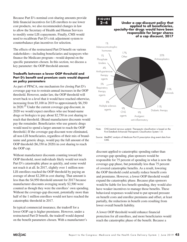Because Part D's nominal cost-sharing amounts provide little financial incentives for LIS enrollees to use lower cost products, we also recommended changes in law to allow the Secretary of Health and Human Services to modify some LIS copayments. Finally, CMS would need to recalibrate Part D's risk adjustment system to counterbalance plan incentives for selection.

The effects of the restructured Part D benefit on various stakeholders—including beneficiaries and taxpayers who finance the Medicare program—would depend on the specific parameters chosen. In this section, we discuss a key parameter: the OOP threshold amount.

#### **Tradeoffs between a lower OOP threshold and Part D's benefit and premium costs would depend on policy parameters**

As part of PPACA, one mechanism for closing Part D's coverage gap was to restrain annual increases in the OOP threshold. However, under law, the OOP threshold will revert back to a level that it would have reached otherwise, increasing from \$5,100 in 2019 to approximately \$6,350 in 2020.<sup>25</sup> Under the current coverage-gap discount, in 2020 we would expect enrollees who use brand-name drugs or biologics to pay about \$2,750 in cost sharing to reach that threshold. (Brand manufacturer discounts would pay the remainder. Beneficiaries who use generic drugs would need to spend a larger amount to reach the OOP threshold.) If the coverage-gap discount were eliminated, all non-LIS beneficiaries, regardless of their mix of brandname and generic drugs, would pay the full amount of the OOP threshold (\$6,350 in 2020) in cost sharing to reach the OOP cap.

Without manufacturer discounts counting toward the OOP threshold, most individuals likely would not reach Part D's catastrophic phase as quickly, and some would not reach it at all. In 2017, slightly over 1 million non-LIS enrollees reached the OOP threshold by paying an average of about \$2,200 in cost sharing. That amount is less than the \$4,950 threshold amount for 2017 because manufacturer discounts averaging nearly \$2,500 were counted as though they were the enrollees' own spending. Without the coverage-gap discount, potentially more than half of the 1 million enrollees would not have reached the catastrophic threshold in 2017.

In typical commercial insurance, the tradeoff for a lower OOP cap is higher premiums. However, under a restructured Part D benefit, the tradeoff would depend on the benefit parameters chosen. With a manufacturer's



#### **Under a cap-discount policy that applied to all beneficiaries, specialty-tier drugs would have been responsible for larger shares of a cap discount, 2017**



discount applied to catastrophic spending rather than coverage-gap spending, plan sponsors would be responsible for 75 percent of spending in what is now the coverage-gap phase, but potentially less than 75 percent of covered catastrophic benefits. As a result, lowering the OOP threshold could actually reduce benefit costs and premiums. However, a lower OOP threshold would expand the catastrophic phase. Because plan sponsors would be liable for less benefit spending, they would also have weaker incentives to manage those benefits. These behavioral responses would tend to put upward pressure on benefit costs and enrollee premiums and offset, at least partially, the reductions in benefit costs resulting from lower overall benefit liability.

A lower OOP threshold would enhance financial protection for all enrollees, and more beneficiaries would reach the catastrophic phase of the benefit. Because a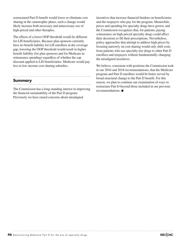restructured Part D benefit would lower or eliminate cost sharing in the catastrophic phase, such a change would likely increase both necessary and unnecessary use of high-priced and other therapies.

The effects of a lower OOP threshold would be different for LIS beneficiaries. Because plan sponsors currently have no benefit liability for LIS enrollees in the coverage gap, lowering the OOP threshold would result in higher benefit liability (for plan sponsors and for Medicare in reinsurance spending) regardless of whether the cap discount applied to LIS beneficiaries. Medicare would pay less in low-income cost-sharing subsidies.

#### **Summary**

The Commission has a long-standing interest in improving the financial sustainability of the Part D program. Previously we have raised concerns about misaligned

incentives that increase financial burdens on beneficiaries and the taxpayers who pay for the program. Meanwhile, prices and spending for specialty drugs have grown, and the Commission recognizes that, for patients, paying coinsurance on high-priced specialty drugs could affect their decisions to fill their prescriptions. Nevertheless, policy approaches that attempt to address high prices by focusing narrowly on cost sharing would only shift costs from patients who use specialty-tier drugs to other Part D enrollees and taxpayers without fundamentally changing the misaligned incentives.

We believe, consistent with positions the Commission took in our 2016 and 2018 recommendations, that the Medicare program and Part D enrollees would be better served by broad structural change to the Part D benefit. For this reason, we plan to continue our examination of ways to restructure Part D beyond those included in our previous recommendations. ■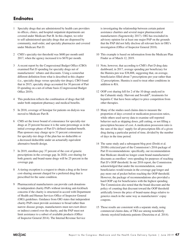# **Endnotes**

- 1 Specialty drugs that are administered by health care providers in offices, clinics, and hospital outpatient departments are covered under Medicare Part B. In this chapter, we refer to self-administered specialty drugs that are dispensed by community, mail-order, and specialty pharmacies and covered under Medicare Part D.
- 2 CMS's specialty-tier threshold was \$600 per month until 2017, when the agency increased it to \$670 per month.
- 3 A recent report by the Congressional Budget Office (CBO) examined Part D spending for specialty drugs net of manufacturers' rebates and discounts. Using a somewhat different definition from what is described in this chapter (i.e., specialty drugs versus specialty-tier drugs), CBO found that in 2015, specialty drugs accounted for 30 percent of Part D spending on a net-of-rebate basis (Congressional Budget Office 2019).
- 4 This prediction reflects the combination of drugs that fall under both outpatient pharmacy and medical benefits.
- 5 In 2018, coverage of Sensipar for patients on dialysis was moved to Medicare Part B.
- 6 CMS set the lower bound of coinsurance for specialty-tier drugs at 25 percent because it is the same percentage as in the initial coverage phase of Part D's defined standard benefit. Plan sponsors may charge up to 33 percent coinsurance for specialty-tier drugs if the plan has no deductible or a decreased deductible under an actuarially equivalent alternative benefit design.
- 7 In 2019, enrollees pay 37 percent of the cost of generic prescriptions in the coverage gap. In 2020, cost sharing for both generic and brand-name drugs will be 25 percent in the coverage gap.
- 8 A tiering exception is a request to obtain a drug at the lower cost-sharing amount charged for a preferred drug that is prescribed for the same condition.
- 9 Pharmaceutical manufacturers can provide cash donations to independent charity PAPs without invoking anti-kickback concerns if the charity is structured in accord with Department of Health and Human Services Office of Inspector General (OIG) guidelines. Guidance from OIG states that independent charity PAPs must provide assistance to broad rather than narrow disease groups, manufacturers must not exert direct or indirect control over the charity, and the PAP must not limit assistance to a subset of available products (Office of Inspector General 2014). The Internal Revenue Service

is investigating the relationship between certain patient assistance charities and several major pharmaceutical manufacturers (Sagonowsky 2017). OIG has rescinded its advisory opinion for at least one major PAP on the grounds that the PAP did not fully disclose all relevant facts in OIG's investigation (Office of Inspector General 2018).

- 10 This example is based on information from the Medicare Plan Finder as of March 12, 2019.
- 11 Note, however, that according to CMS's Part D drug data dashboard, in 2017, average spending per beneficiary for the Humira pen was \$38,888, suggesting that, on average, beneficiaries filled about 7 prescriptions per year rather than 12 prescriptions. Humira is used to treat other conditions in addition to RA.
- 12 OOP cost sharing fell for 2 of the 10 drugs analyzed in the Cubanski study: Harvoni and Sovaldi®, treatments for hepatitis C that have been subject to price competition from other therapies.
- 13 Many of the studies used claims data to measure the proportion of days covered or medication possession ratios, while others used survey data to examine self-reported behavior such as skipping doses, pill cutting, or not filling a prescription because of cost. A medication possession ratio is the sum of the days' supply for all prescription fills of a given drug during a particular period of time, divided by the number of days in the time period.
- 14 The same study and a subsequent blog post (Doshi et al. 2018b) criticized part of the Commission's 2016 package of Part D recommendations: specifically, our recommendation that Medicare should no longer count brand manufacturers' discounts as enrollees' own spending for purposes of reaching Part D's OOP threshold. In our 2016 report, the Commission acknowledged that under the recommendation, some beneficiaries would remain in the coverage gap longer and pay more out of pocket before reaching the OOP threshold. However, the package of recommendations also provided a hard OOP cap for beneficiaries with the highest spending. The Commission also noted that the brand discount and the policy of counting that discount toward the OOP threshold artificially lowers the price of brand-name drugs relative to generics much in the same way as manufacturers' copay coupons.
- 15 Those results are consistent with a separate study, using commercial claims data, of TKI use among nonelderly chronic myeloid leukemia patients (Dusetzina et al. 2014).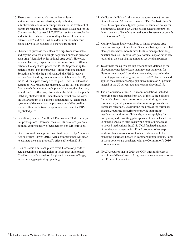- 16 There are six protected classes: anticonvulsants, antidepressants, antineoplastics, antipsychotics, antiretrovirals, and immunosuppressants for the treatment of transplant rejection. In Part D price indexes developed for the Commission by Acumen LLC, POS prices for antineoplastics and antiretrovirals have increased by a factor of nearly two between 2007 and 2017, while indexes for the other four classes have fallen because of generic substitution.
- 17 Pharmacies purchase their stock of drugs from wholesalers and pay the wholesaler a single negotiated purchase price for each drug (identified by its national drug code). However, when a pharmacy dispenses the exact same drug to different patients, the negotiated prices that PBMs (representing the patients' plans) pay the pharmacy differ from one another. Sometime after the drug is dispensed, the PBMs receive rebates from the drug's manufacturer which, under Part D, the PBM must pass through to the plan. Under an alternative system of POS rebates, the pharmacy would still buy the drug from the wholesaler at a single price. However, the pharmacy would need to reflect any discounts at the POS that the plan's PBM negotiated with the manufacturer, which would lower the dollar amount of a patient's coinsurance. A "chargeback" system would ensure that the pharmacy would be credited for the difference between its purchase price and the PBM's negotiated price.
- 18 In addition, nearly 0.6 million LIS enrollees filled specialtytier prescriptions. However, because LIS enrollees pay only nominal copayments, we focus here on non-LIS enrollees.
- 19 One version of this approach was first proposed by American Action Forum (Hayes 2018). Aetna commissioned Milliman to estimate the same proposal's effects (Sheldon 2018).
- 20 Risk corridors limit each plan's overall losses or profits if actual spending is much higher or lower than anticipated. Corridors provide a cushion for plans in the event of large, unforeseen aggregate drug spending.
- 21 Medicare's individual reinsurance captures about 8 percent of enrollees and 50 percent or more of Part D's basic benefit costs. In comparison, a typical private reinsurance policy for a commercial health plan would be expected to capture less than 1 percent of beneficiaries and about 10 percent of benefit costs (Johnson 2015).
- 22 Multiple factors likely contribute to higher average drug spending among LIS enrollees. One contributing factor is that plan sponsors have more limited tools to manage their drug benefits because LIS enrollees pay nominal copays set in law rather than the cost-sharing amounts set by plan sponsors.
- 23 To estimate the equivalent cap-discount rate, defined as the discount rate needed to keep manufacturer payments for discounts unchanged from the amounts they pay under the current gap-discount program, we used 2017 claims data and applied the current coverage-gap discount rate of 70 percent instead of the 50 percent rate that was in place in 2017.
- 24 The Commission's June 2016 recommendations included removing protected status from two of the six drug classes for which plan sponsors must now cover all drugs on their formularies (antidepressants and immunosuppressants for transplant rejection), streamlining the process for formulary changes, requiring prescribers to provide supporting justifications with more clinical rigor when applying for exceptions, and permitting plan sponsors to use selected tools to manage specialty-drug costs while maintaining access to needed medications. In 2018, CMS finalized a number of regulatory changes in Part D and proposed other steps to allow plan sponsors to use tools already available for managing pharmacy benefit in commercial populations. Some of those policies are consistent with the Commission's 2016 recommendations.
- 25 PPACA requires that in 2020, the OOP threshold revert to what it would have been had it grown at the same rate as other Part D benefit parameters.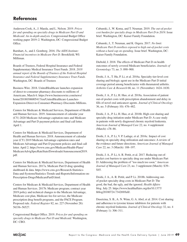# **References**

Anderson-Cook, A., J. Maeda, and L. Nelson. 2019. *Prices for and spending on specialty drugs in Medicare Part D and Medicaid: An in-depth analysis.* Congressional Budget Office working paper 2019–2. Washington, DC: Congressional Budget Office.

Barnhart, A., and J. Gomberg. 2016. *The AIDS Institute: Financial incentives in Medicare Part D.* Brookfield, WI: Milliman.

Boards of Trustees, Federal Hospital Insurance and Federal Supplementary Medical Insurance Trust Funds. 2018. *2018 annual report of the Boards of Trustees of the Federal Hospital Insurance and Federal Supplementary Insurance Trust Funds.*  Washington, DC: Boards of Trustees

Business Wire. 2018. UnitedHealthcare launches expansion of direct-to-consumer pharmacy discounts to millions of Americans, March 6. https://www.businesswire.com/news/ home/20180306005417/en/UnitedHealthcare-Launches-Expansion-Direct-to-Consumer-Pharmacy-Discounts-Millions.

Centers for Medicare & Medicaid Services, Department of Health and Human Services. 2019. Announcement of calendar year (CY) 2020 Medicare Advantage capitation rates and Medicare Advantage and Part D payment policies and final call letter. April 1.

Centers for Medicare & Medicaid Services, Department of Health and Human Services. 2018. Announcement of calendar year (CY) 2019 Medicare Advantage capitation rates and Medicare Advantage and Part D payment policies and final call letter. April 2. https://www.cms.gov/Medicare/Health-Plans/ MedicareAdvtgSpecRateStats/Downloads/Announcement2019. pdf.

Centers for Medicare & Medicaid Services, Department of Health and Human Services. 2017a. Medicare Part D drug spending dashboard & data. https://www.cms.gov/Research-Statistics-Data-and-Systems/Statistics-Trends-and-Reports/Information-on-Prescription-Drugs/MedicarePartD.html.

Centers for Medicare & Medicaid Services, Department of Health and Human Services. 2017b. Medicare program; contract year 2019 policy and technical changes to the Medicare Advantage, Medicare cost plan, Medicare fee-for-service, the Medicare prescription drug benefit programs, and the PACE Program. Proposed rule. *Federal Register* 82, no. 227 (November 28): 56336–56527.

Congressional Budget Office. 2019. *Prices for and spending on specialty drugs in Medicare Part D and Medicaid.* Washington, DC: CBO.

Cubanski, J., W. Koma, and T. Neuman. 2019. *The out-of-pocket cost burden for specialty drugs in Medicare Part D in 2019.* Issue brief. Washington, DC: Kaiser Family Foundation.

Cubanski, J., T. Neuman, and K. Orgera. 2017. *No limit: Medicare Part D enrollees exposed to high out-of-pocket costs without a hard cap on spending.* Issue brief. Washington, DC: Kaiser Family Foundation.

Diebold, J. 2018. The effects of Medicare Part D on health outcomes of newly covered Medicare beneficiaries. *Journals of Gerontology* 73, no. 5: 890–900.

Doshi, J. A., T. Hu, P. Li, et al. 2016a. Specialty tier-level cost sharing and biologic agent use in the Medicare Part D initial coverage period among beneficiaries with rheumatoid arthritis. *Arthritis Care & Research* 68, no. 11 (November): 1624–1630.

Doshi, J. A., P. Li, H. Huo, et al. 2018a. Association of patient out-of-pocket costs with prescription abandonment and delay in fills of novel oral anticancer agents. *Journal of Clinical Oncology*  36, no. 5 (February 10): 476–482.

Doshi, J. A., P. Li, H. Huo, et al. 2016b. High cost sharing and specialty drug initiation under Medicare Part D: A case study in patients with newly diagnosed chronic myeloid leukemia. *American Journal of Managed Care* 22, no. 4 supplement (March): s78–86.

Doshi, J. A., P. Li, V. P. Ladage, et al. 2016c. Impact of cost sharing on specialty drug utilization and outcomes: A review of the evidence and future directions. *American Journal of Managed Care* 22, no. 3 (March): 188–197.

Doshi, J. A., P. Li, A. R. Pettit, et al. 2017. Reducing out-ofpocket cost barriers to specialty drug use under Medicare Part D: Addressing the problem of "too much too soon." *American Journal of Managed Car*e 23, no. 3 supplement (March): S39– S45.

Doshi, J. A., A. R. Pettit, and P. Li. 2018b. Addressing outof-pocket specialty drug costs in Medicare Part D: The good, the bad, the ugly, and the ignored. *Health Affairs* blog. July 25. https://www.healthaffairs.org/do/10.1377/ hblog20180724.734269/full/.

Dusetzina, S. B., A. N. Winn, G. A. Abel, et al. 2014. Cost sharing and adherence to tyrosine kinase inhibitors for patients with chronic myeloid leukemia. *Journal of Clinical Oncology* 32, no. 4 (February 1): 306–311.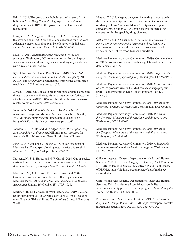Fein, A. 2019. The gross-to-net bubble reached a record \$166 billion in 2018. *Drug Channels* blog. April 3. https://www. drugchannels.net/2019/04/the-gross-to-net-bubble-reachedrecord.html.

Fung, V., C. M. Mangione, J. Huang, et al. 2010. Falling into the coverage gap: Part D drug costs and adherence for Medicare Advantage prescription drug plan beneficiaries with diabetes. *Health Services Research* 45, no. 2 (April): 355–375.

Hayes, T. 2018. *Redesigning Medicare Part D to realign incentives.* Washington, DC: American Action Forum. https:// www.americanactionforum.org/research/redesigning-medicarepart-d-realign-incentives-1/.

IQVIA Institute for Human Data Science. 2019. *The global use of medicine in 2019 and outlook to 2023*. Parsippany, NJ: IQVIA. https://www.iqvia.com/institute/reports/the-global-use-ofmedicine-in-2019-and-outlook-to-2023.

Japsen, B. 2018. UnitedHealth group will pass drug maker rebates directly to customers. *Forbes*, March 6. https://www.forbes.com/ sites/brucejapsen/2018/03/06/unitedhealth-will-pass-drug-makerrebates-to-more-customers/#5592f1ec326d.

Johnson, N. 2015. *Possible changes to Medicare Part D reinsurance programs.* Milliman Medicare issue brief. Seattle, WA: Milliman. http://www.milliman.com/uploadedFiles/ insight/2015/possible-changes-medicare-part-d.pdf.

Johnson, N., C. Mills, and M. Kridgen. 2018. *Prescription drug rebates and Part D drug costs.* Milliman report prepared for America's Health Insurance Plans. Seattle, WA: Milliman.

Jung, J., W. Y. Xu, and C. Cheong. 2017. In-gap discounts in Medicare Part D and specialty drug use. *American Journal of Managed Care* 23, no. 9 (September): 553–559.

Kaisaeng, N., S. E. Harpe, and N. V. Carroll. 2014. Out-of-pocket costs and oral cancer medication discontinuation in the elderly. *American Journal of Managed Care* 20, no. 7 (July): 669–675.

Madden, J. M., A. J. Graves, D. Ross-Degnan, et al. 2009. Cost-related medication nonadherence after implementation of Medicare Part D, 2006–2007. *Journal of the American Medical Association* 302, no. 16 (October 28): 1755–1756.

Martin, A. B., M. Hartman, B. Washington, et al. 2019. National health spending in 2017: Growth slows to post-Great Recession rates; Share of GDP stabilizes. *Health Affairs* 38, no. 1 (January): 96–106.

Mattina, C. 2019. Keeping an eye on increasing competition in the specialty drug pipeline. Presentation during the Academy of Managed Care Pharmacy, March 27. https://www.ajmc. com/conferences/amcp-2019/keeping-an-eye-on-increasingcompetition-in-the-specialty-drug-pipeline.

McCarty, S., and D. Cusano. 2014. *Specialty tier pharmacy benefit designs in commercial insurance policy: Issues and considerations*. State health assistance network issue brief. Princeton, NJ: Robert Wood Johnson Foundation.

Medicare Payment Advisory Commission. 2019a. Comment letter on OIG's proposed rule on safe harbor regulation of prescription drug rebates. April 5.

Medicare Payment Advisory Commission. 2019b. *Report to the Congress: Medicare payment policy.* Washington, DC: MedPAC.

Medicare Payment Advisory Commission. 2018. Comment letter on CMS's proposed rule on the Medicare Advantage program (Part C) and Prescription Drug Benefit program (Part D), January 3.

Medicare Payment Advisory Commission. 2017. *Report to the Congress: Medicare payment policy.* Washington, DC: MedPAC.

Medicare Payment Advisory Commission. 2016. *Report to the Congress: Medicare and the health care delivery system.*  Washington, DC: MedPAC.

Medicare Payment Advisory Commission. 2015. *Report to the Congress: Medicare and the health care delivery system.*  Washington, DC: MedPAC.

Medicare Payment Advisory Commission. 2010. *A data book: Healthcare spending and the Medicare program.* Washington, DC: MedPAC.

Office of Inspector General, Department of Health and Human Services. 2018. Letter from Gregory E. Demske, Chief Counsel of HHS OIG to James C. Stansel, Executive VP and Chief Counsel of PhRMA. https://oig.hhs.gov/compliance/alerts/guidance/ stansel-letter.pdf.

Office of Inspector General, Department of Health and Human Services. 2014. Supplemental special advisory bulletin: Independent charity patient assistance programs. *Federal Register*  79, no. 104 (May 30): 31120–31123.

Pharmacy Benefit Management Institute. 2019. *2018 trends in drug benefit design.* Plano, TX: PBMI. https://www.pbmi.com/Ite mDetail?iProductCode=BDR\_2018&Category=BDR.